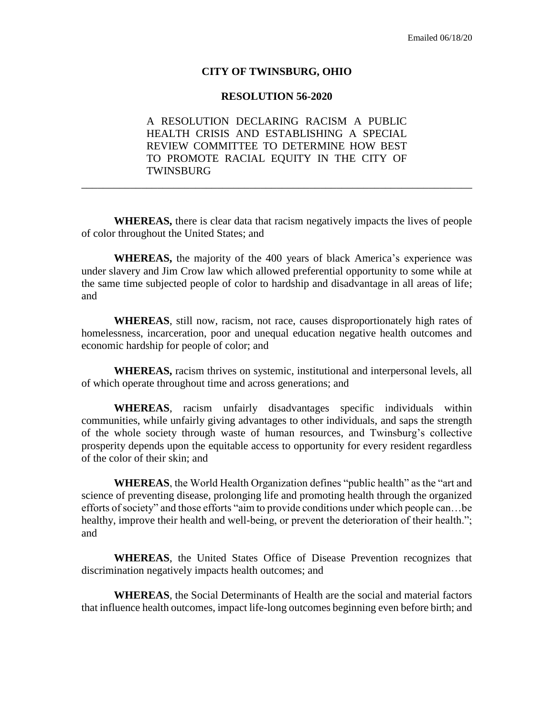## **CITY OF TWINSBURG, OHIO**

## **RESOLUTION 56-2020**

A RESOLUTION DECLARING RACISM A PUBLIC HEALTH CRISIS AND ESTABLISHING A SPECIAL REVIEW COMMITTEE TO DETERMINE HOW BEST TO PROMOTE RACIAL EQUITY IN THE CITY OF TWINSBURG

\_\_\_\_\_\_\_\_\_\_\_\_\_\_\_\_\_\_\_\_\_\_\_\_\_\_\_\_\_\_\_\_\_\_\_\_\_\_\_\_\_\_\_\_\_\_\_\_\_\_\_\_\_\_\_\_\_\_\_\_\_\_\_\_\_\_\_\_\_\_\_\_

**WHEREAS,** there is clear data that racism negatively impacts the lives of people of color throughout the United States; and

**WHEREAS,** the majority of the 400 years of black America's experience was under slavery and Jim Crow law which allowed preferential opportunity to some while at the same time subjected people of color to hardship and disadvantage in all areas of life; and

**WHEREAS**, still now, racism, not race, causes disproportionately high rates of homelessness, incarceration, poor and unequal education negative health outcomes and economic hardship for people of color; and

**WHEREAS,** racism thrives on systemic, institutional and interpersonal levels, all of which operate throughout time and across generations; and

**WHEREAS**, racism unfairly disadvantages specific individuals within communities, while unfairly giving advantages to other individuals, and saps the strength of the whole society through waste of human resources, and Twinsburg's collective prosperity depends upon the equitable access to opportunity for every resident regardless of the color of their skin; and

**WHEREAS**, the World Health Organization defines "public health" as the "art and science of preventing disease, prolonging life and promoting health through the organized efforts of society" and those efforts "aim to provide conditions under which people can…be healthy, improve their health and well-being, or prevent the deterioration of their health."; and

**WHEREAS**, the United States Office of Disease Prevention recognizes that discrimination negatively impacts health outcomes; and

**WHEREAS**, the Social Determinants of Health are the social and material factors that influence health outcomes, impact life-long outcomes beginning even before birth; and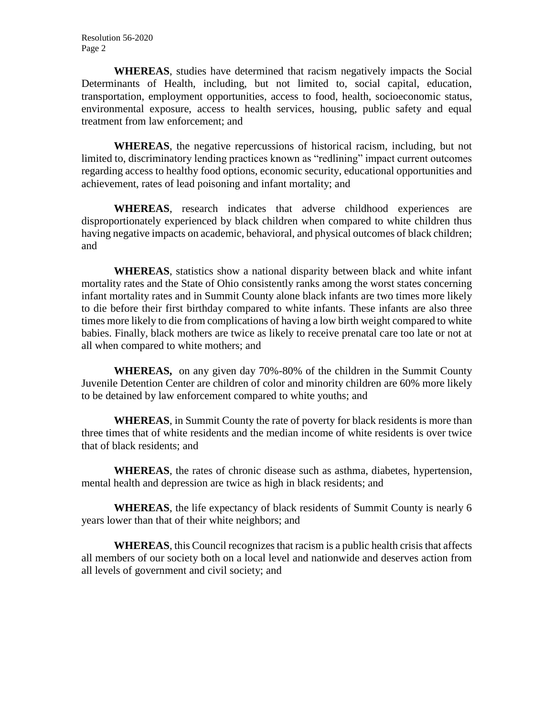**WHEREAS**, studies have determined that racism negatively impacts the Social Determinants of Health, including, but not limited to, social capital, education, transportation, employment opportunities, access to food, health, socioeconomic status, environmental exposure, access to health services, housing, public safety and equal treatment from law enforcement; and

**WHEREAS**, the negative repercussions of historical racism, including, but not limited to, discriminatory lending practices known as "redlining" impact current outcomes regarding access to healthy food options, economic security, educational opportunities and achievement, rates of lead poisoning and infant mortality; and

**WHEREAS**, research indicates that adverse childhood experiences are disproportionately experienced by black children when compared to white children thus having negative impacts on academic, behavioral, and physical outcomes of black children; and

**WHEREAS**, statistics show a national disparity between black and white infant mortality rates and the State of Ohio consistently ranks among the worst states concerning infant mortality rates and in Summit County alone black infants are two times more likely to die before their first birthday compared to white infants. These infants are also three times more likely to die from complications of having a low birth weight compared to white babies. Finally, black mothers are twice as likely to receive prenatal care too late or not at all when compared to white mothers; and

**WHEREAS,** on any given day 70%-80% of the children in the Summit County Juvenile Detention Center are children of color and minority children are 60% more likely to be detained by law enforcement compared to white youths; and

**WHEREAS**, in Summit County the rate of poverty for black residents is more than three times that of white residents and the median income of white residents is over twice that of black residents; and

**WHEREAS**, the rates of chronic disease such as asthma, diabetes, hypertension, mental health and depression are twice as high in black residents; and

**WHEREAS**, the life expectancy of black residents of Summit County is nearly 6 years lower than that of their white neighbors; and

**WHEREAS**, this Council recognizes that racism is a public health crisis that affects all members of our society both on a local level and nationwide and deserves action from all levels of government and civil society; and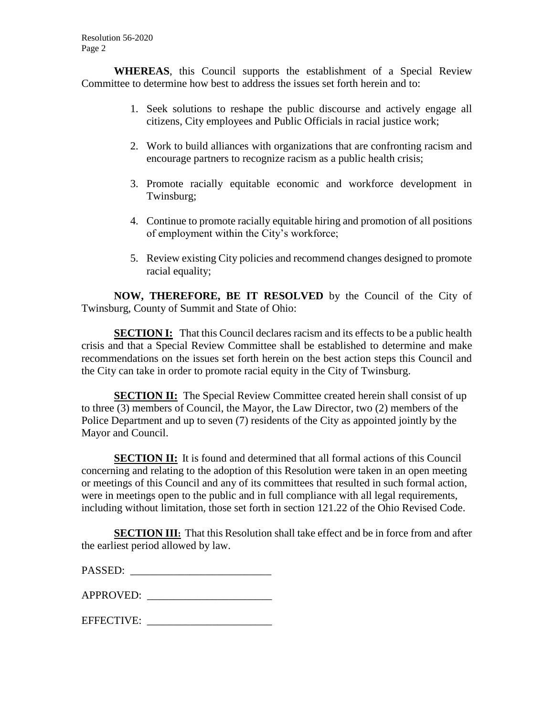**WHEREAS**, this Council supports the establishment of a Special Review Committee to determine how best to address the issues set forth herein and to:

- 1. Seek solutions to reshape the public discourse and actively engage all citizens, City employees and Public Officials in racial justice work;
- 2. Work to build alliances with organizations that are confronting racism and encourage partners to recognize racism as a public health crisis;
- 3. Promote racially equitable economic and workforce development in Twinsburg;
- 4. Continue to promote racially equitable hiring and promotion of all positions of employment within the City's workforce;
- 5. Review existing City policies and recommend changes designed to promote racial equality;

**NOW, THEREFORE, BE IT RESOLVED** by the Council of the City of Twinsburg, County of Summit and State of Ohio:

**SECTION I:** That this Council declares racism and its effects to be a public health crisis and that a Special Review Committee shall be established to determine and make recommendations on the issues set forth herein on the best action steps this Council and the City can take in order to promote racial equity in the City of Twinsburg.

**SECTION II:** The Special Review Committee created herein shall consist of up to three (3) members of Council, the Mayor, the Law Director, two (2) members of the Police Department and up to seven (7) residents of the City as appointed jointly by the Mayor and Council.

**SECTION II:** It is found and determined that all formal actions of this Council concerning and relating to the adoption of this Resolution were taken in an open meeting or meetings of this Council and any of its committees that resulted in such formal action, were in meetings open to the public and in full compliance with all legal requirements, including without limitation, those set forth in section 121.22 of the Ohio Revised Code.

**SECTION III:** That this Resolution shall take effect and be in force from and after the earliest period allowed by law.

| PASSED: |  |
|---------|--|
|---------|--|

APPROVED: \_\_\_\_\_\_\_\_\_\_\_\_\_\_\_\_\_\_\_\_\_\_\_

EFFECTIVE: \_\_\_\_\_\_\_\_\_\_\_\_\_\_\_\_\_\_\_\_\_\_\_